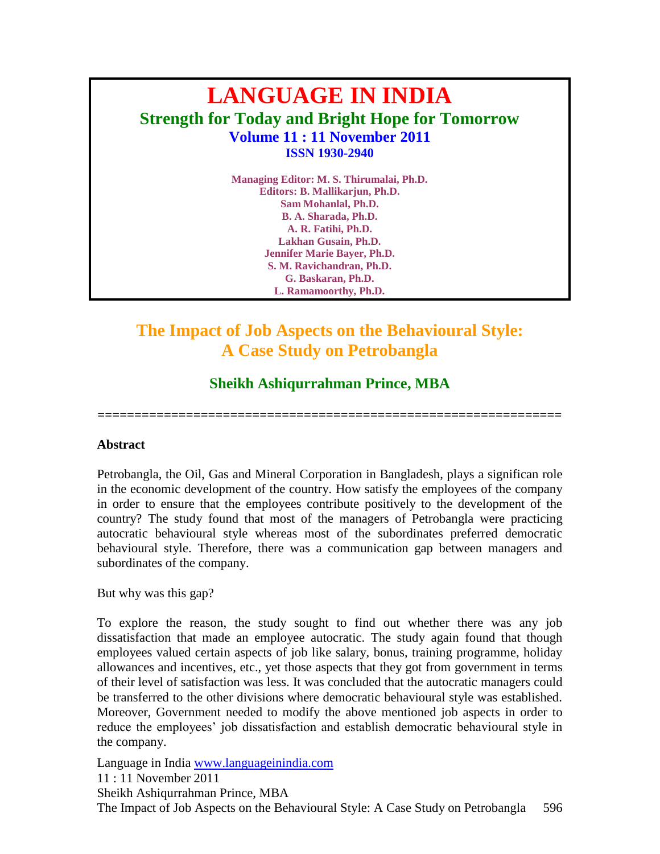# **LANGUAGE IN INDIA Strength for Today and Bright Hope for Tomorrow Volume 11 : 11 November 2011 ISSN 1930-2940**

**Managing Editor: M. S. Thirumalai, Ph.D. Editors: B. Mallikarjun, Ph.D. Sam Mohanlal, Ph.D. B. A. Sharada, Ph.D. A. R. Fatihi, Ph.D. Lakhan Gusain, Ph.D. Jennifer Marie Bayer, Ph.D. S. M. Ravichandran, Ph.D. G. Baskaran, Ph.D. L. Ramamoorthy, Ph.D.**

## **The Impact of Job Aspects on the Behavioural Style: A Case Study on Petrobangla**

## **Sheikh Ashiqurrahman Prince, MBA**

**===============================================================**

#### **Abstract**

Petrobangla, the Oil, Gas and Mineral Corporation in Bangladesh, plays a significan role in the economic development of the country. How satisfy the employees of the company in order to ensure that the employees contribute positively to the development of the country? The study found that most of the managers of Petrobangla were practicing autocratic behavioural style whereas most of the subordinates preferred democratic behavioural style. Therefore, there was a communication gap between managers and subordinates of the company.

But why was this gap?

To explore the reason, the study sought to find out whether there was any job dissatisfaction that made an employee autocratic. The study again found that though employees valued certain aspects of job like salary, bonus, training programme, holiday allowances and incentives, etc., yet those aspects that they got from government in terms of their level of satisfaction was less. It was concluded that the autocratic managers could be transferred to the other divisions where democratic behavioural style was established. Moreover, Government needed to modify the above mentioned job aspects in order to reduce the employees" job dissatisfaction and establish democratic behavioural style in the company.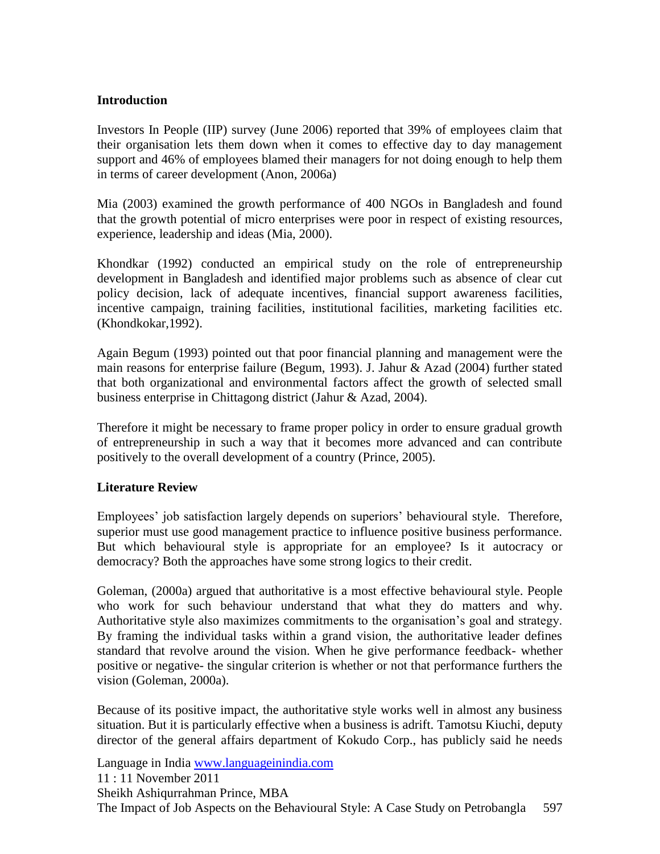#### **Introduction**

Investors In People (IIP) survey (June 2006) reported that 39% of employees claim that their organisation lets them down when it comes to effective day to day management support and 46% of employees blamed their managers for not doing enough to help them in terms of career development (Anon, 2006a)

Mia (2003) examined the growth performance of 400 NGOs in Bangladesh and found that the growth potential of micro enterprises were poor in respect of existing resources, experience, leadership and ideas (Mia, 2000).

Khondkar (1992) conducted an empirical study on the role of entrepreneurship development in Bangladesh and identified major problems such as absence of clear cut policy decision, lack of adequate incentives, financial support awareness facilities, incentive campaign, training facilities, institutional facilities, marketing facilities etc. (Khondkokar,1992).

Again Begum (1993) pointed out that poor financial planning and management were the main reasons for enterprise failure (Begum, 1993). J. Jahur & Azad (2004) further stated that both organizational and environmental factors affect the growth of selected small business enterprise in Chittagong district (Jahur & Azad, 2004).

Therefore it might be necessary to frame proper policy in order to ensure gradual growth of entrepreneurship in such a way that it becomes more advanced and can contribute positively to the overall development of a country (Prince, 2005).

#### **Literature Review**

Employees' job satisfaction largely depends on superiors' behavioural style. Therefore, superior must use good management practice to influence positive business performance. But which behavioural style is appropriate for an employee? Is it autocracy or democracy? Both the approaches have some strong logics to their credit.

Goleman, (2000a) argued that authoritative is a most effective behavioural style. People who work for such behaviour understand that what they do matters and why. Authoritative style also maximizes commitments to the organisation"s goal and strategy. By framing the individual tasks within a grand vision, the authoritative leader defines standard that revolve around the vision. When he give performance feedback- whether positive or negative- the singular criterion is whether or not that performance furthers the vision (Goleman, 2000a).

Because of its positive impact, the authoritative style works well in almost any business situation. But it is particularly effective when a business is adrift. Tamotsu Kiuchi, deputy director of the general affairs department of Kokudo Corp., has publicly said he needs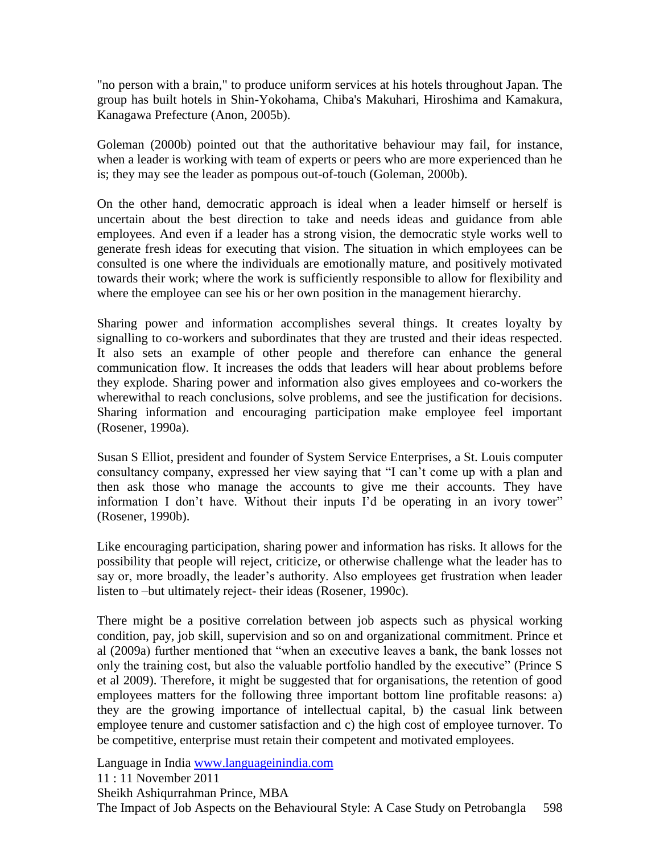"no person with a brain," to produce uniform services at his hotels throughout Japan. The group has built hotels in Shin-Yokohama, Chiba's Makuhari, Hiroshima and Kamakura, Kanagawa Prefecture (Anon, 2005b).

Goleman (2000b) pointed out that the authoritative behaviour may fail, for instance, when a leader is working with team of experts or peers who are more experienced than he is; they may see the leader as pompous out-of-touch (Goleman, 2000b).

On the other hand, democratic approach is ideal when a leader himself or herself is uncertain about the best direction to take and needs ideas and guidance from able employees. And even if a leader has a strong vision, the democratic style works well to generate fresh ideas for executing that vision. The situation in which employees can be consulted is one where the individuals are emotionally mature, and positively motivated towards their work; where the work is sufficiently responsible to allow for flexibility and where the employee can see his or her own position in the management hierarchy.

Sharing power and information accomplishes several things. It creates loyalty by signalling to co-workers and subordinates that they are trusted and their ideas respected. It also sets an example of other people and therefore can enhance the general communication flow. It increases the odds that leaders will hear about problems before they explode. Sharing power and information also gives employees and co-workers the wherewithal to reach conclusions, solve problems, and see the justification for decisions. Sharing information and encouraging participation make employee feel important (Rosener, 1990a).

Susan S Elliot, president and founder of System Service Enterprises, a St. Louis computer consultancy company, expressed her view saying that "I can"t come up with a plan and then ask those who manage the accounts to give me their accounts. They have information I don't have. Without their inputs I'd be operating in an ivory tower" (Rosener, 1990b).

Like encouraging participation, sharing power and information has risks. It allows for the possibility that people will reject, criticize, or otherwise challenge what the leader has to say or, more broadly, the leader's authority. Also employees get frustration when leader listen to –but ultimately reject- their ideas (Rosener, 1990c).

There might be a positive correlation between job aspects such as physical working condition, pay, job skill, supervision and so on and organizational commitment. Prince et al (2009a) further mentioned that "when an executive leaves a bank, the bank losses not only the training cost, but also the valuable portfolio handled by the executive" (Prince S et al 2009). Therefore, it might be suggested that for organisations, the retention of good employees matters for the following three important bottom line profitable reasons: a) they are the growing importance of intellectual capital, b) the casual link between employee tenure and customer satisfaction and c) the high cost of employee turnover. To be competitive, enterprise must retain their competent and motivated employees.

Language in India [www.languageinindia.com](http://www.languageinindia.com/)

11 : 11 November 2011

Sheikh Ashiqurrahman Prince, MBA

The Impact of Job Aspects on the Behavioural Style: A Case Study on Petrobangla 598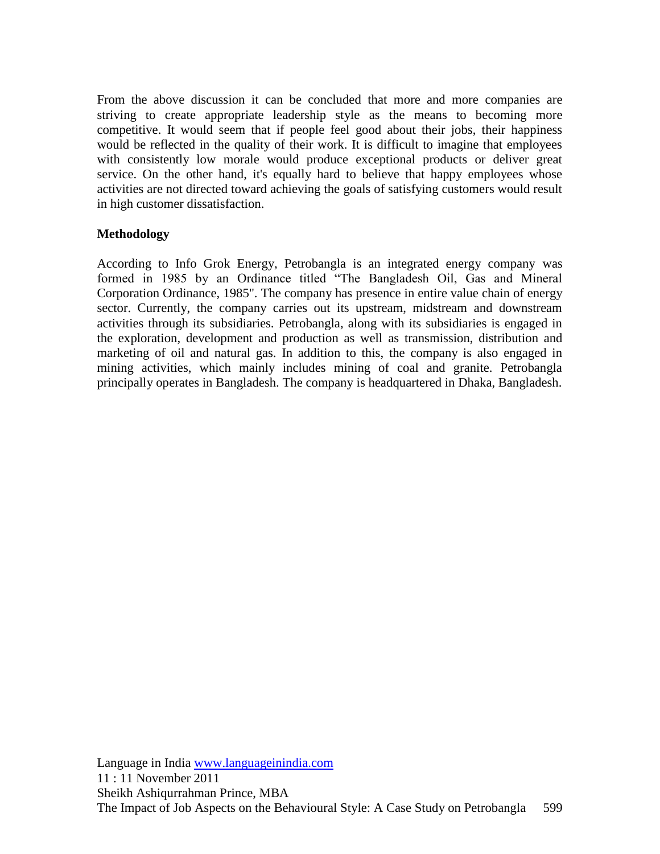From the above discussion it can be concluded that more and more companies are striving to create appropriate leadership style as the means to becoming more competitive. It would seem that if people feel good about their jobs, their happiness would be reflected in the quality of their work. It is difficult to imagine that employees with consistently low morale would produce exceptional products or deliver great service. On the other hand, it's equally hard to believe that happy employees whose activities are not directed toward achieving the goals of satisfying customers would result in high customer dissatisfaction.

#### **Methodology**

According to Info Grok Energy, Petrobangla is an integrated energy company was formed in 1985 by an Ordinance titled "The Bangladesh Oil, Gas and Mineral Corporation Ordinance, 1985". The company has presence in entire value chain of energy sector. Currently, the company carries out its upstream, midstream and downstream activities through its subsidiaries. Petrobangla, along with its subsidiaries is engaged in the exploration, development and production as well as transmission, distribution and marketing of oil and natural gas. In addition to this, the company is also engaged in mining activities, which mainly includes mining of coal and granite. Petrobangla principally operates in Bangladesh. The company is headquartered in Dhaka, Bangladesh.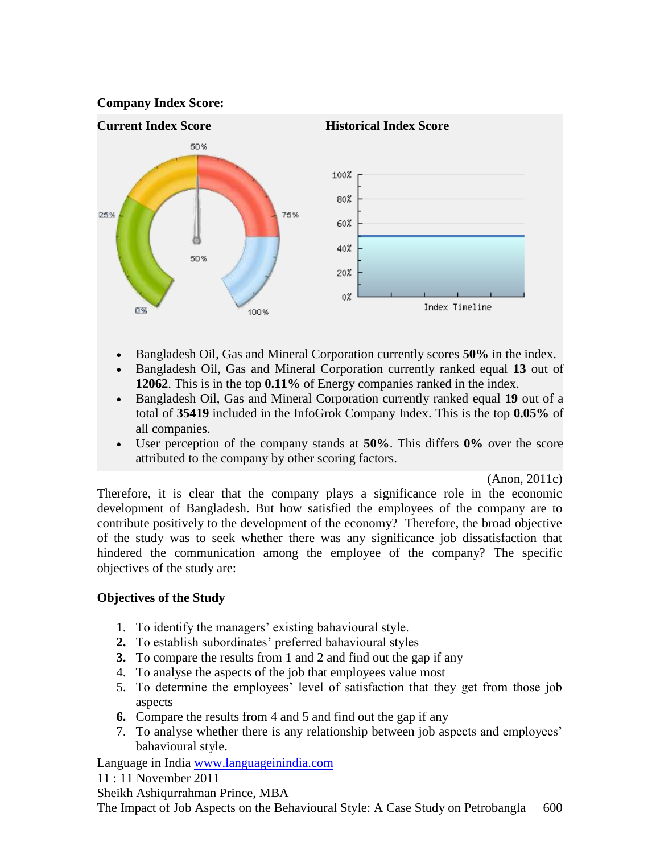



- Bangladesh Oil, Gas and Mineral Corporation currently scores **50%** in the index.
- Bangladesh Oil, Gas and Mineral Corporation currently ranked equal **13** out of **12062**. This is in the top **0.11%** of Energy companies ranked in the index.
- Bangladesh Oil, Gas and Mineral Corporation currently ranked equal **19** out of a total of **35419** included in the InfoGrok Company Index. This is the top **0.05%** of all companies.
- User perception of the company stands at **50%**. This differs **0%** over the score attributed to the company by other scoring factors.

(Anon, 2011c)

Therefore, it is clear that the company plays a significance role in the economic development of Bangladesh. But how satisfied the employees of the company are to contribute positively to the development of the economy? Therefore, the broad objective of the study was to seek whether there was any significance job dissatisfaction that hindered the communication among the employee of the company? The specific objectives of the study are:

#### **Objectives of the Study**

- 1. To identify the managers' existing bahavioural style.
- 2. To establish subordinates' preferred bahavioural styles
- **3.** To compare the results from 1 and 2 and find out the gap if any
- 4. To analyse the aspects of the job that employees value most
- 5. To determine the employees" level of satisfaction that they get from those job aspects
- **6.** Compare the results from 4 and 5 and find out the gap if any
- 7. To analyse whether there is any relationship between job aspects and employees" bahavioural style.

Language in India [www.languageinindia.com](http://www.languageinindia.com/)

11 : 11 November 2011

Sheikh Ashiqurrahman Prince, MBA

The Impact of Job Aspects on the Behavioural Style: A Case Study on Petrobangla 600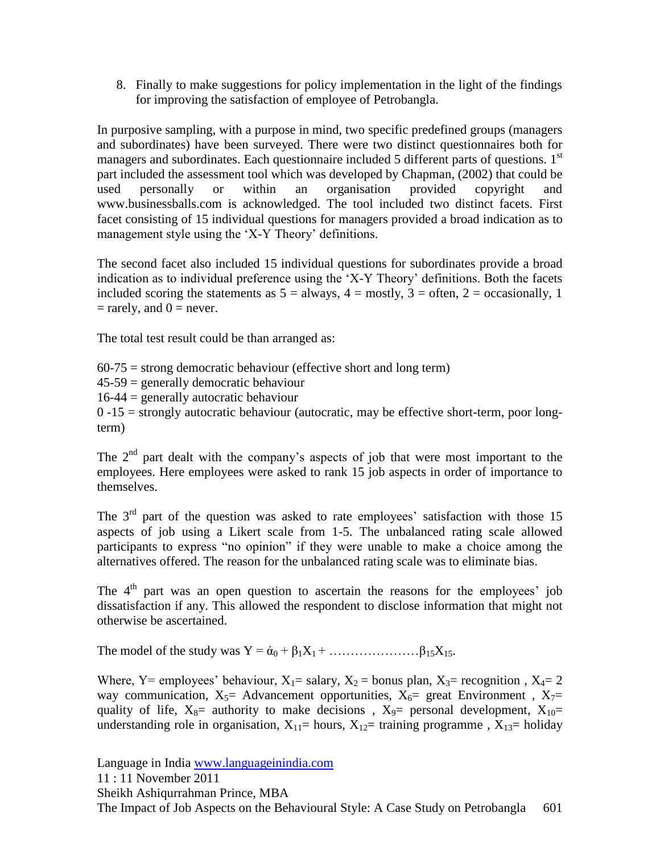8. Finally to make suggestions for policy implementation in the light of the findings for improving the satisfaction of employee of Petrobangla.

In purposive sampling, with a purpose in mind, two specific predefined groups (managers and subordinates) have been surveyed. There were two distinct questionnaires both for managers and subordinates. Each questionnaire included 5 different parts of questions. 1<sup>st</sup> part included the assessment tool which was developed by Chapman, (2002) that could be used personally or within an organisation provided copyright and www.businessballs.com is acknowledged. The tool included two distinct facets. First facet consisting of 15 individual questions for managers provided a broad indication as to management style using the 'X-Y Theory' definitions.

The second facet also included 15 individual questions for subordinates provide a broad indication as to individual preference using the "X-Y Theory" definitions. Both the facets included scoring the statements as  $5 =$  always,  $4 =$  mostly,  $3 =$  often,  $2 =$  occasionally, 1  $=$  rarely, and  $0 =$  never.

The total test result could be than arranged as:

 $60-75$  = strong democratic behaviour (effective short and long term)

 $45-59$  = generally democratic behaviour

 $16-44$  = generally autocratic behaviour

 $0 -15$  = strongly autocratic behaviour (autocratic, may be effective short-term, poor longterm)

The  $2<sup>nd</sup>$  part dealt with the company's aspects of job that were most important to the employees. Here employees were asked to rank 15 job aspects in order of importance to themselves.

The  $3<sup>rd</sup>$  part of the question was asked to rate employees' satisfaction with those 15 aspects of job using a Likert scale from 1-5. The unbalanced rating scale allowed participants to express "no opinion" if they were unable to make a choice among the alternatives offered. The reason for the unbalanced rating scale was to eliminate bias.

The  $4<sup>th</sup>$  part was an open question to ascertain the reasons for the employees' job dissatisfaction if any. This allowed the respondent to disclose information that might not otherwise be ascertained.

The model of the study was  $Y = \dot{\alpha}_0 + \beta_1 X_1 + \dots + \beta_{15} X_{15}$ .

Where, Y= employees' behaviour,  $X_1$ = salary,  $X_2$  = bonus plan,  $X_3$ = recognition,  $X_4$ = 2 way communication,  $X_5$ = Advancement opportunities,  $X_6$ = great Environment,  $X_7$ = quality of life,  $X_8$ = authority to make decisions,  $X_9$ = personal development,  $X_{10}$ = understanding role in organisation,  $X_{11}=$  hours,  $X_{12}=$  training programme,  $X_{13}=$  holiday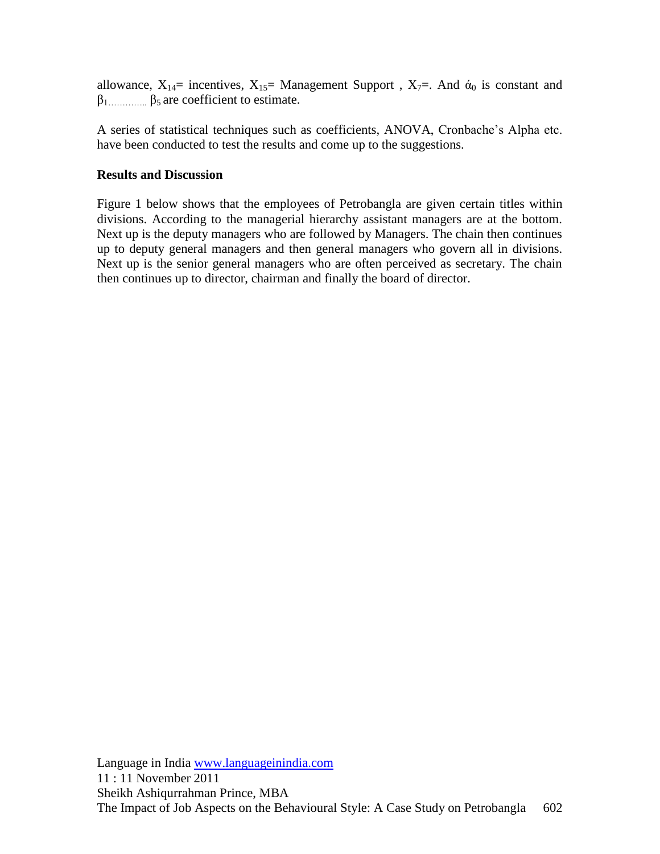allowance,  $X_{14}$ = incentives,  $X_{15}$ = Management Support,  $X_{7}$ =. And  $\alpha_0$  is constant and  $\beta_1$ <sub>…………</sub>...  $\beta_5$  are coefficient to estimate.

A series of statistical techniques such as coefficients, ANOVA, Cronbache"s Alpha etc. have been conducted to test the results and come up to the suggestions.

#### **Results and Discussion**

Figure 1 below shows that the employees of Petrobangla are given certain titles within divisions. According to the managerial hierarchy assistant managers are at the bottom. Next up is the deputy managers who are followed by Managers. The chain then continues up to deputy general managers and then general managers who govern all in divisions. Next up is the senior general managers who are often perceived as secretary. The chain then continues up to director, chairman and finally the board of director.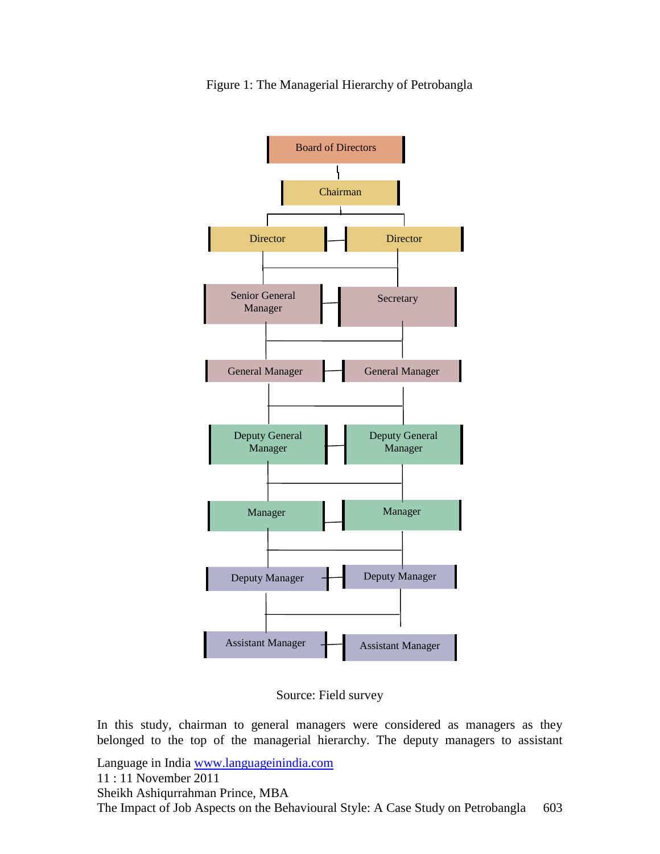

Figure 1: The Managerial Hierarchy of Petrobangla

Source: Field survey

In this study, chairman to general managers were considered as managers as they belonged to the top of the managerial hierarchy. The deputy managers to assistant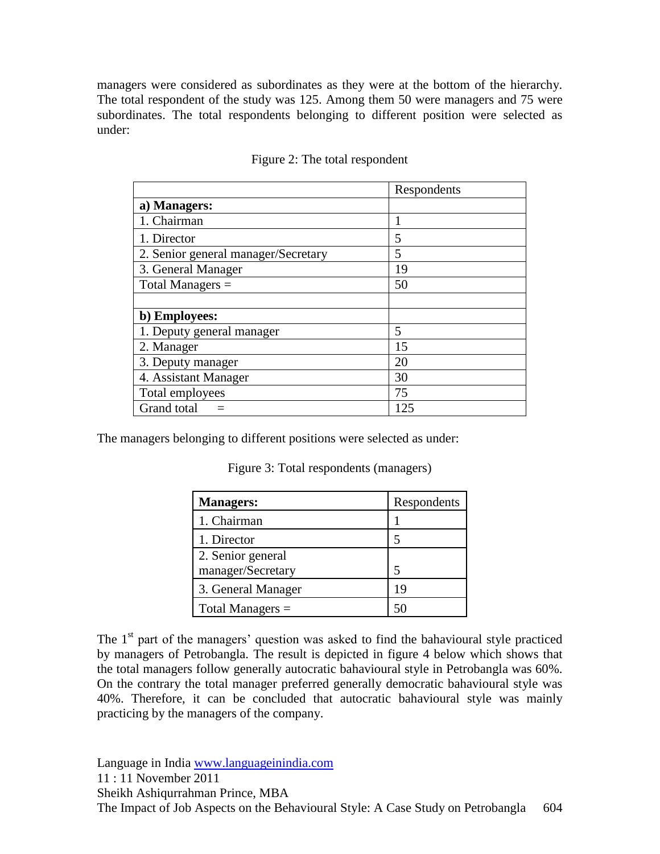managers were considered as subordinates as they were at the bottom of the hierarchy. The total respondent of the study was 125. Among them 50 were managers and 75 were subordinates. The total respondents belonging to different position were selected as under:

|                                     | Respondents |
|-------------------------------------|-------------|
| a) Managers:                        |             |
| 1. Chairman                         |             |
| 1. Director                         | 5           |
| 2. Senior general manager/Secretary | 5           |
| 3. General Manager                  | 19          |
| Total Managers $=$                  | 50          |
|                                     |             |
| b) Employees:                       |             |
| 1. Deputy general manager           | 5           |
| 2. Manager                          | 15          |
| 3. Deputy manager                   | 20          |
| 4. Assistant Manager                | 30          |
| Total employees                     | 75          |
| Grand total                         | 125         |

#### Figure 2: The total respondent

The managers belonging to different positions were selected as under:

| <b>Managers:</b>                       | Respondents |
|----------------------------------------|-------------|
| 1. Chairman                            |             |
| 1. Director                            | 5           |
| 2. Senior general<br>manager/Secretary | 5           |
| 3. General Manager                     | 19          |
| Total Managers $=$                     |             |

Figure 3: Total respondents (managers)

The  $1<sup>st</sup>$  part of the managers' question was asked to find the bahavioural style practiced by managers of Petrobangla. The result is depicted in figure 4 below which shows that the total managers follow generally autocratic bahavioural style in Petrobangla was 60%. On the contrary the total manager preferred generally democratic bahavioural style was 40%. Therefore, it can be concluded that autocratic bahavioural style was mainly practicing by the managers of the company.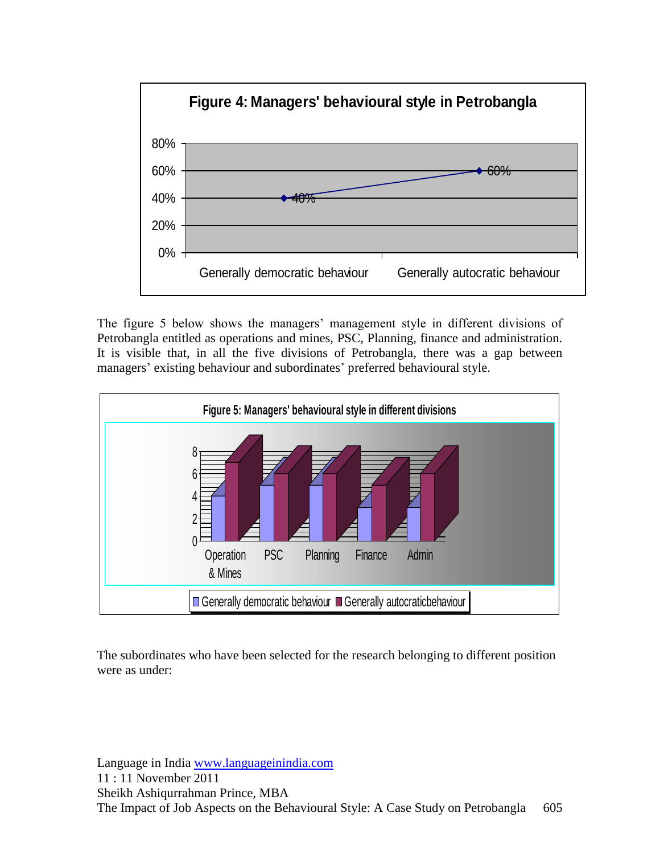

The figure 5 below shows the managers' management style in different divisions of Petrobangla entitled as operations and mines, PSC, Planning, finance and administration. It is visible that, in all the five divisions of Petrobangla, there was a gap between managers' existing behaviour and subordinates' preferred behavioural style.



The subordinates who have been selected for the research belonging to different position were as under: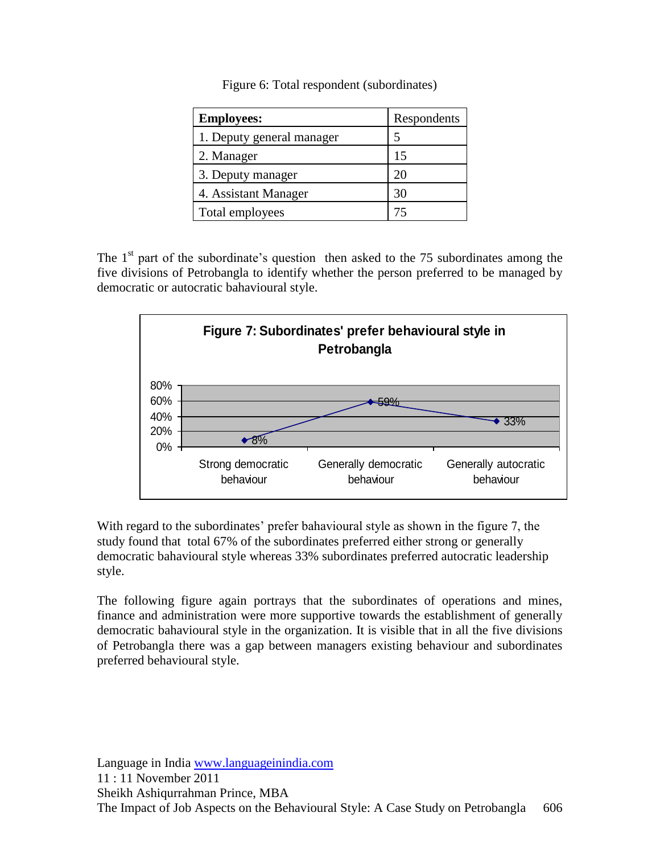|  |  |  | Figure 6: Total respondent (subordinates) |  |
|--|--|--|-------------------------------------------|--|
|  |  |  |                                           |  |

| <b>Employees:</b>         | Respondents |
|---------------------------|-------------|
| 1. Deputy general manager |             |
| 2. Manager                | 15          |
| 3. Deputy manager         | 20          |
| 4. Assistant Manager      | 30          |
| Total employees           |             |

The  $1<sup>st</sup>$  part of the subordinate's question then asked to the 75 subordinates among the five divisions of Petrobangla to identify whether the person preferred to be managed by democratic or autocratic bahavioural style.



With regard to the subordinates' prefer bahavioural style as shown in the figure 7, the study found that total 67% of the subordinates preferred either strong or generally democratic bahavioural style whereas 33% subordinates preferred autocratic leadership style.

The following figure again portrays that the subordinates of operations and mines, finance and administration were more supportive towards the establishment of generally democratic bahavioural style in the organization. It is visible that in all the five divisions of Petrobangla there was a gap between managers existing behaviour and subordinates preferred behavioural style.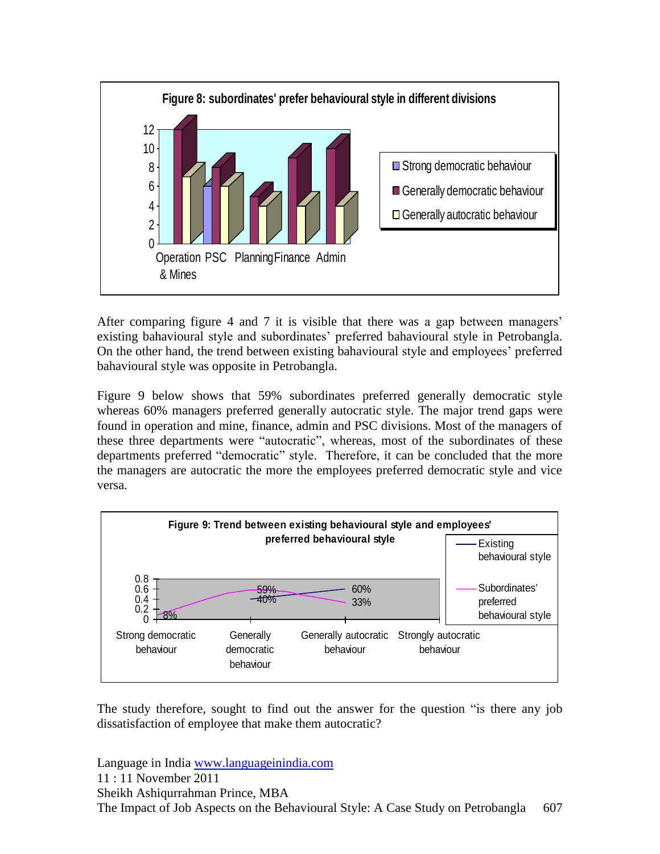

After comparing figure 4 and 7 it is visible that there was a gap between managers" existing bahavioural style and subordinates" preferred bahavioural style in Petrobangla. On the other hand, the trend between existing bahavioural style and employees" preferred bahavioural style was opposite in Petrobangla.

Figure 9 below shows that 59% subordinates preferred generally democratic style whereas 60% managers preferred generally autocratic style. The major trend gaps were found in operation and mine, finance, admin and PSC divisions. Most of the managers of these three departments were "autocratic", whereas, most of the subordinates of these departments preferred "democratic" style. Therefore, it can be concluded that the more the managers are autocratic the more the employees preferred democratic style and vice versa.



The study therefore, sought to find out the answer for the question "is there any job dissatisfaction of employee that make them autocratic?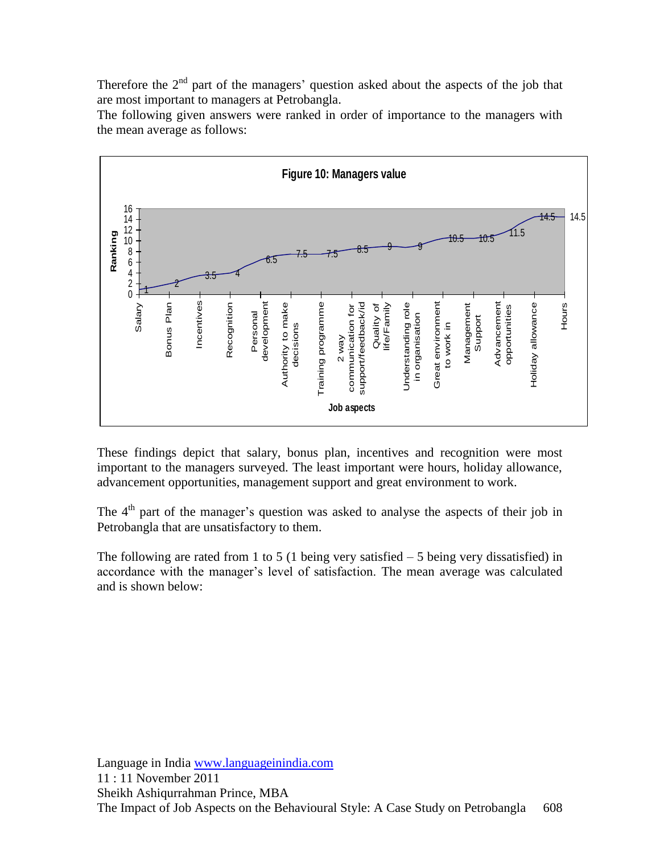Therefore the  $2<sup>nd</sup>$  part of the managers' question asked about the aspects of the job that are most important to managers at Petrobangla.

The following given answers were ranked in order of importance to the managers with the mean average as follows:



These findings depict that salary, bonus plan, incentives and recognition were most important to the managers surveyed. The least important were hours, holiday allowance, advancement opportunities, management support and great environment to work.

The  $4<sup>th</sup>$  part of the manager's question was asked to analyse the aspects of their job in Petrobangla that are unsatisfactory to them.

The following are rated from 1 to 5 (1 being very satisfied  $-5$  being very dissatisfied) in accordance with the manager"s level of satisfaction. The mean average was calculated and is shown below: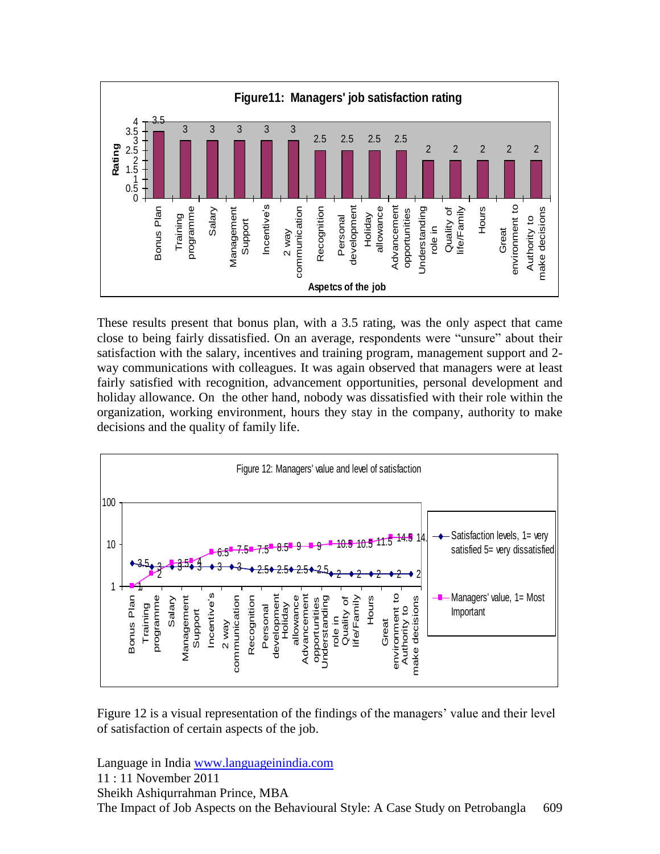

These results present that bonus plan, with a 3.5 rating, was the only aspect that came close to being fairly dissatisfied. On an average, respondents were "unsure" about their satisfaction with the salary, incentives and training program, management support and 2 way communications with colleagues. It was again observed that managers were at least fairly satisfied with recognition, advancement opportunities, personal development and holiday allowance. On the other hand, nobody was dissatisfied with their role within the organization, working environment, hours they stay in the company, authority to make decisions and the quality of family life.



Figure 12 is a visual representation of the findings of the managers' value and their level of satisfaction of certain aspects of the job.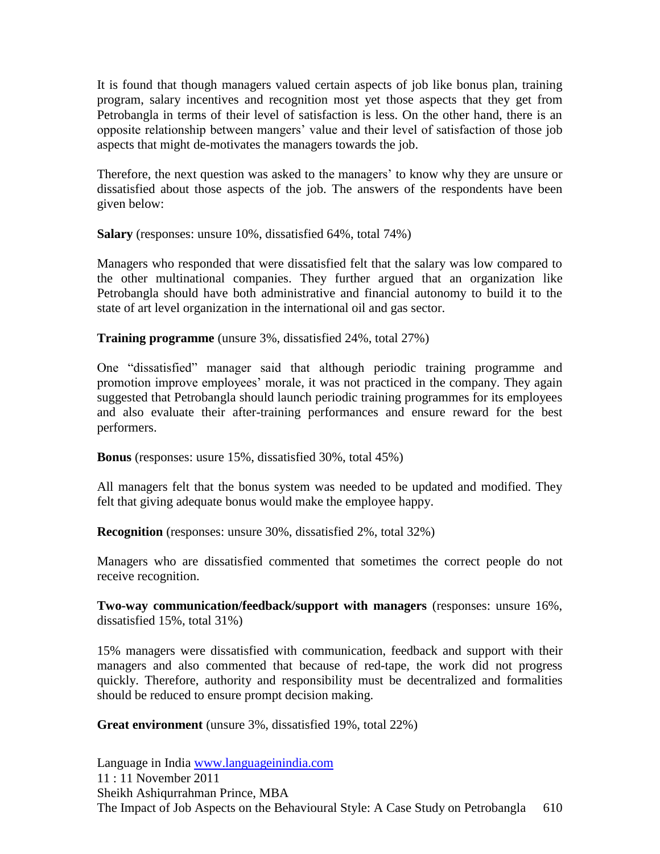It is found that though managers valued certain aspects of job like bonus plan, training program, salary incentives and recognition most yet those aspects that they get from Petrobangla in terms of their level of satisfaction is less. On the other hand, there is an opposite relationship between mangers" value and their level of satisfaction of those job aspects that might de-motivates the managers towards the job.

Therefore, the next question was asked to the managers' to know why they are unsure or dissatisfied about those aspects of the job. The answers of the respondents have been given below:

**Salary** (responses: unsure 10%, dissatisfied 64%, total 74%)

Managers who responded that were dissatisfied felt that the salary was low compared to the other multinational companies. They further argued that an organization like Petrobangla should have both administrative and financial autonomy to build it to the state of art level organization in the international oil and gas sector.

**Training programme** (unsure 3%, dissatisfied 24%, total 27%)

One "dissatisfied" manager said that although periodic training programme and promotion improve employees' morale, it was not practiced in the company. They again suggested that Petrobangla should launch periodic training programmes for its employees and also evaluate their after-training performances and ensure reward for the best performers.

**Bonus** (responses: usure 15%, dissatisfied 30%, total 45%)

All managers felt that the bonus system was needed to be updated and modified. They felt that giving adequate bonus would make the employee happy.

**Recognition** (responses: unsure 30%, dissatisfied 2%, total 32%)

Managers who are dissatisfied commented that sometimes the correct people do not receive recognition.

**Two-way communication/feedback/support with managers** (responses: unsure 16%, dissatisfied 15%, total 31%)

15% managers were dissatisfied with communication, feedback and support with their managers and also commented that because of red-tape, the work did not progress quickly. Therefore, authority and responsibility must be decentralized and formalities should be reduced to ensure prompt decision making.

**Great environment** (unsure 3%, dissatisfied 19%, total 22%)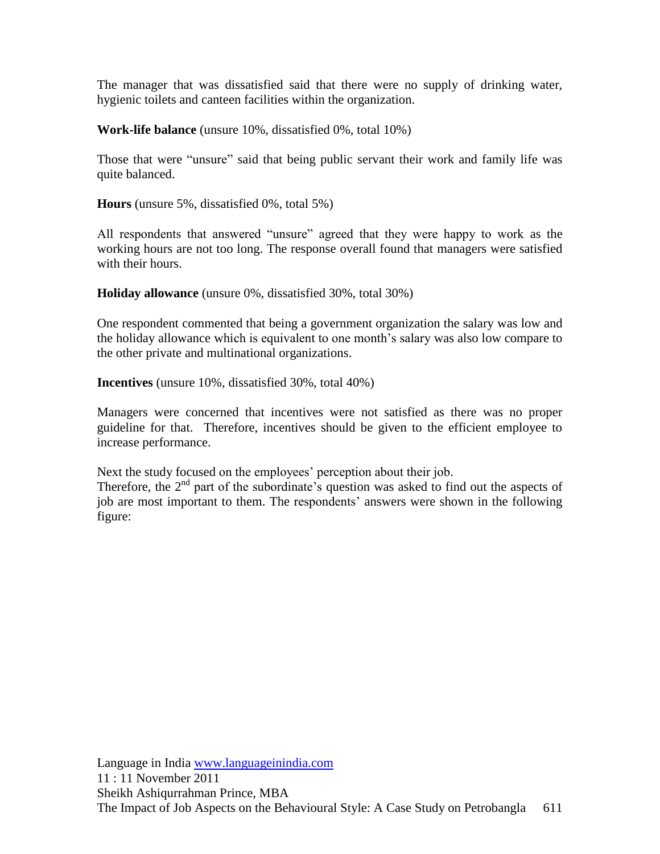The manager that was dissatisfied said that there were no supply of drinking water, hygienic toilets and canteen facilities within the organization.

**Work-life balance** (unsure 10%, dissatisfied 0%, total 10%)

Those that were "unsure" said that being public servant their work and family life was quite balanced.

**Hours** (unsure 5%, dissatisfied 0%, total 5%)

All respondents that answered "unsure" agreed that they were happy to work as the working hours are not too long. The response overall found that managers were satisfied with their hours.

**Holiday allowance** (unsure 0%, dissatisfied 30%, total 30%)

One respondent commented that being a government organization the salary was low and the holiday allowance which is equivalent to one month"s salary was also low compare to the other private and multinational organizations.

**Incentives** (unsure 10%, dissatisfied 30%, total 40%)

Managers were concerned that incentives were not satisfied as there was no proper guideline for that. Therefore, incentives should be given to the efficient employee to increase performance.

Next the study focused on the employees' perception about their job.

Therefore, the  $2<sup>nd</sup>$  part of the subordinate's question was asked to find out the aspects of job are most important to them. The respondents' answers were shown in the following figure: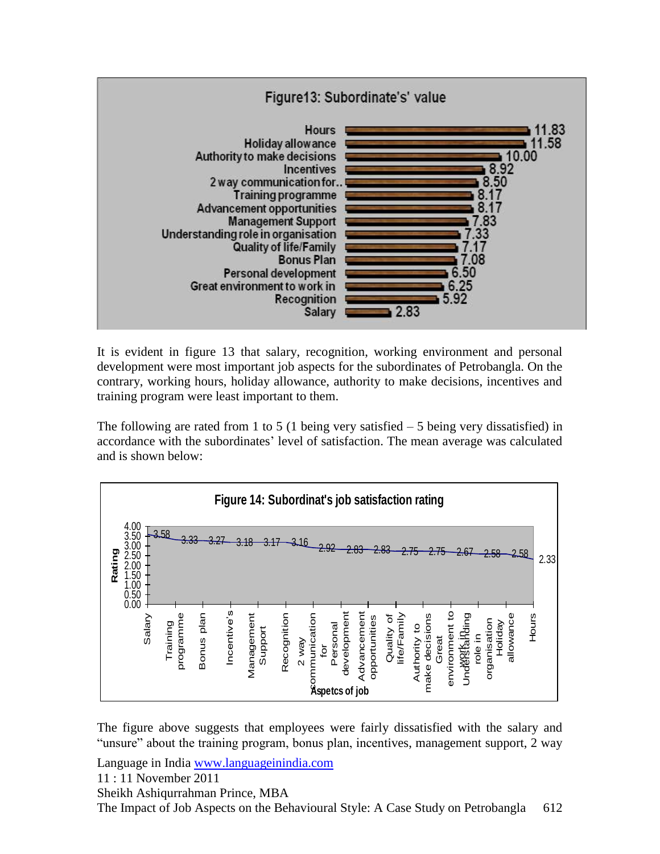

It is evident in figure 13 that salary, recognition, working environment and personal development were most important job aspects for the subordinates of Petrobangla. On the contrary, working hours, holiday allowance, authority to make decisions, incentives and training program were least important to them.

The following are rated from 1 to 5 (1 being very satisfied  $-5$  being very dissatisfied) in accordance with the subordinates" level of satisfaction. The mean average was calculated and is shown below:



The figure above suggests that employees were fairly dissatisfied with the salary and "unsure" about the training program, bonus plan, incentives, management support, 2 way

Language in India [www.languageinindia.com](http://www.languageinindia.com/)

11 : 11 November 2011

Sheikh Ashiqurrahman Prince, MBA

The Impact of Job Aspects on the Behavioural Style: A Case Study on Petrobangla 612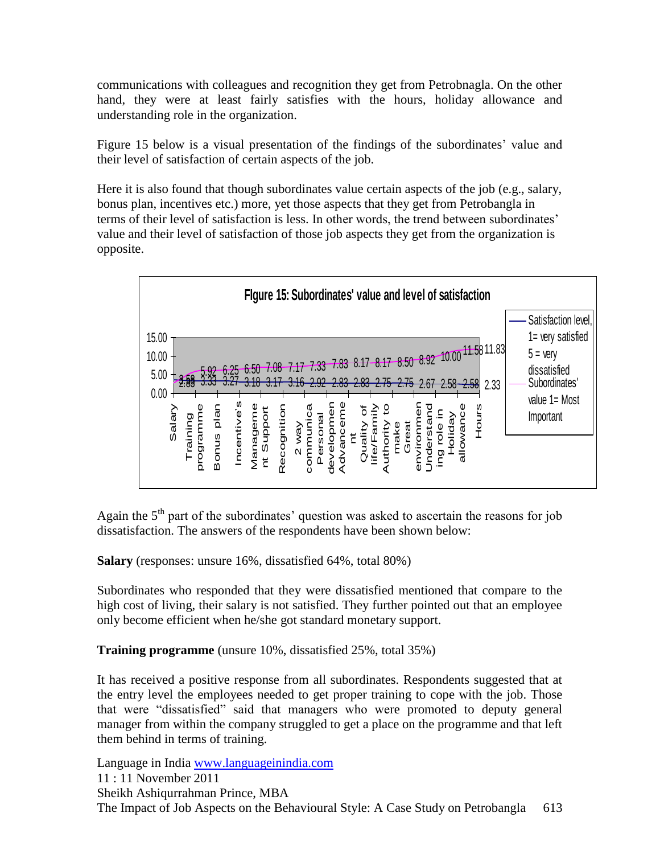communications with colleagues and recognition they get from Petrobnagla. On the other hand, they were at least fairly satisfies with the hours, holiday allowance and understanding role in the organization.

Figure 15 below is a visual presentation of the findings of the subordinates' value and their level of satisfaction of certain aspects of the job.

Here it is also found that though subordinates value certain aspects of the job (e.g., salary, bonus plan, incentives etc.) more, yet those aspects that they get from Petrobangla in terms of their level of satisfaction is less. In other words, the trend between subordinates' value and their level of satisfaction of those job aspects they get from the organization is opposite.



Again the  $5<sup>th</sup>$  part of the subordinates' question was asked to ascertain the reasons for job dissatisfaction. The answers of the respondents have been shown below:

**Salary** (responses: unsure 16%, dissatisfied 64%, total 80%)

Subordinates who responded that they were dissatisfied mentioned that compare to the high cost of living, their salary is not satisfied. They further pointed out that an employee only become efficient when he/she got standard monetary support.

**Training programme** (unsure 10%, dissatisfied 25%, total 35%)

It has received a positive response from all subordinates. Respondents suggested that at the entry level the employees needed to get proper training to cope with the job. Those that were "dissatisfied" said that managers who were promoted to deputy general manager from within the company struggled to get a place on the programme and that left them behind in terms of training.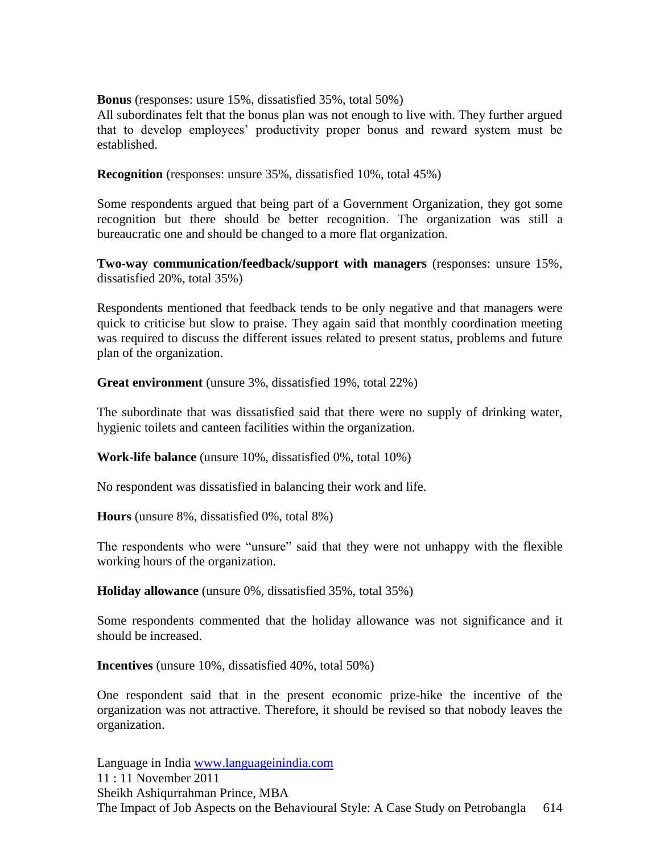**Bonus** (responses: usure 15%, dissatisfied 35%, total 50%)

All subordinates felt that the bonus plan was not enough to live with. They further argued that to develop employees" productivity proper bonus and reward system must be established.

**Recognition** (responses: unsure 35%, dissatisfied 10%, total 45%)

Some respondents argued that being part of a Government Organization, they got some recognition but there should be better recognition. The organization was still a bureaucratic one and should be changed to a more flat organization.

**Two-way communication/feedback/support with managers** (responses: unsure 15%, dissatisfied 20%, total 35%)

Respondents mentioned that feedback tends to be only negative and that managers were quick to criticise but slow to praise. They again said that monthly coordination meeting was required to discuss the different issues related to present status, problems and future plan of the organization.

**Great environment** (unsure 3%, dissatisfied 19%, total 22%)

The subordinate that was dissatisfied said that there were no supply of drinking water, hygienic toilets and canteen facilities within the organization.

**Work-life balance** (unsure 10%, dissatisfied 0%, total 10%)

No respondent was dissatisfied in balancing their work and life.

**Hours** (unsure 8%, dissatisfied 0%, total 8%)

The respondents who were "unsure" said that they were not unhappy with the flexible working hours of the organization.

**Holiday allowance** (unsure 0%, dissatisfied 35%, total 35%)

Some respondents commented that the holiday allowance was not significance and it should be increased.

**Incentives** (unsure 10%, dissatisfied 40%, total 50%)

One respondent said that in the present economic prize-hike the incentive of the organization was not attractive. Therefore, it should be revised so that nobody leaves the organization.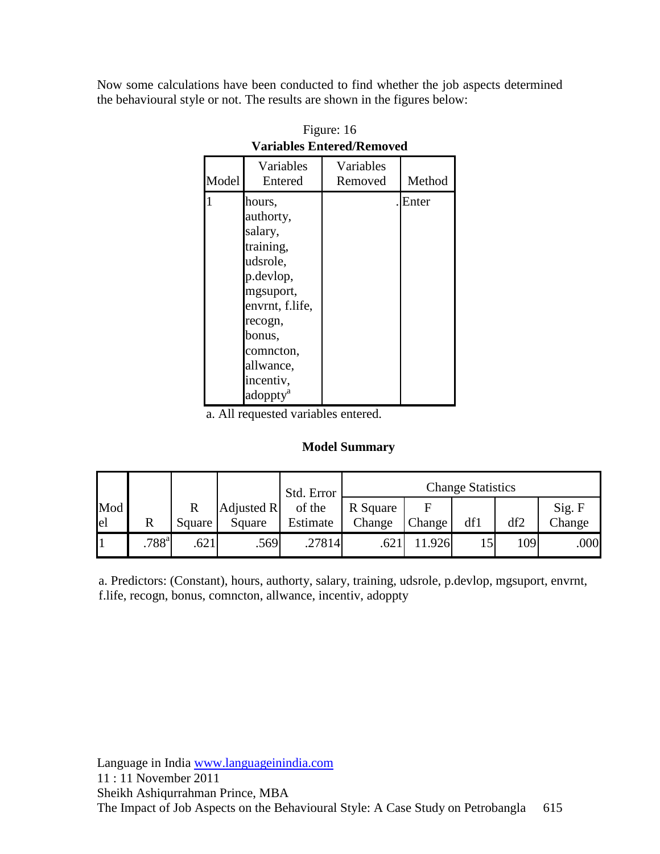Now some calculations have been conducted to find whether the job aspects determined the behavioural style or not. The results are shown in the figures below:

| Model | Variables<br>Entered                                                                                                                                                                     | Variables<br>Removed | Method |
|-------|------------------------------------------------------------------------------------------------------------------------------------------------------------------------------------------|----------------------|--------|
|       | hours,<br>authorty,<br>salary,<br>training,<br>udsrole,<br>p.devlop,<br>mgsuport,<br>envrnt, f.life,<br>recogn,<br>bonus,<br>comncton,<br>allwance,<br>incentiv,<br>adoppty <sup>a</sup> |                      | Enter  |

Figure: 16 **Variables Entered/Removed**

a. All requested variables entered.

#### **Model Summary**

|              |                     |                                   |                      | Std. Error         |                    |        | <b>Change Statistics</b> |      |                  |
|--------------|---------------------|-----------------------------------|----------------------|--------------------|--------------------|--------|--------------------------|------|------------------|
| Mod<br>el    | $\mathbb{R}$        | $\overline{\mathrm{R}}$<br>Square | Adjusted R<br>Square | of the<br>Estimate | R Square<br>Change | Change | df1                      | df2  | Sig. F<br>Change |
| $\mathbf{1}$ | $.788$ <sup>a</sup> | .621                              | .569                 | .27814             | .621               | 1.926  | 15                       | 1091 | .000             |

a. Predictors: (Constant), hours, authorty, salary, training, udsrole, p.devlop, mgsuport, envrnt, f.life, recogn, bonus, comncton, allwance, incentiv, adoppty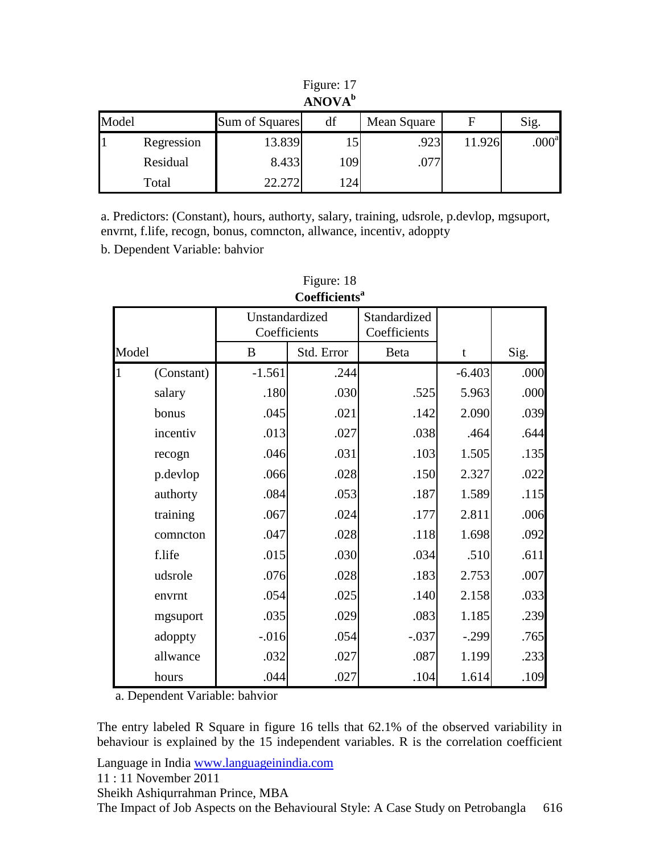| ANOVA <sup>b</sup> |            |                |     |             |        |                   |
|--------------------|------------|----------------|-----|-------------|--------|-------------------|
| Model              |            | Sum of Squares | df  | Mean Square | F      | Sig.              |
|                    | Regression | 13.839         |     | .923        | 11.926 | .000 <sup>a</sup> |
|                    | Residual   | 8.433          | 109 | .077        |        |                   |
|                    | Total      | 22.272         | 124 |             |        |                   |

| Figure: 17    |  |
|---------------|--|
| $A N O V A^b$ |  |

a. Predictors: (Constant), hours, authorty, salary, training, udsrole, p.devlop, mgsuport, envrnt, f.life, recogn, bonus, comncton, allwance, incentiv, adoppty

b. Dependent Variable: bahvior

| Cochicichto |            |                                |            |                              |             |      |
|-------------|------------|--------------------------------|------------|------------------------------|-------------|------|
|             |            | Unstandardized<br>Coefficients |            | Standardized<br>Coefficients |             |      |
| Model       |            | B                              | Std. Error | Beta                         | $\mathbf t$ | Sig. |
|             | (Constant) | $-1.561$                       | .244       |                              | $-6.403$    | .000 |
|             | salary     | .180                           | .030       | .525                         | 5.963       | .000 |
|             | bonus      | .045                           | .021       | .142                         | 2.090       | .039 |
|             | incentiv   | .013                           | .027       | .038                         | .464        | .644 |
|             | recogn     | .046                           | .031       | .103                         | 1.505       | .135 |
|             | p.devlop   | .066                           | .028       | .150                         | 2.327       | .022 |
|             | authorty   | .084                           | .053       | .187                         | 1.589       | .115 |
|             | training   | .067                           | .024       | .177                         | 2.811       | .006 |
|             | comncton   | .047                           | .028       | .118                         | 1.698       | .092 |
|             | f.life     | .015                           | .030       | .034                         | .510        | .611 |
|             | udsrole    | .076                           | .028       | .183                         | 2.753       | .007 |
|             | envrnt     | .054                           | .025       | .140                         | 2.158       | .033 |
|             | mgsuport   | .035                           | .029       | .083                         | 1.185       | .239 |
|             | adoppty    | $-0.016$                       | .054       | $-.037$                      | $-.299$     | .765 |
|             | allwance   | .032                           | .027       | .087                         | 1.199       | .233 |
|             | hours      | .044                           | .027       | .104                         | 1.614       | .109 |

### Figure: 18 **Coefficients<sup>a</sup>**

a. Dependent Variable: bahvior

The entry labeled R Square in figure 16 tells that 62.1% of the observed variability in behaviour is explained by the 15 independent variables. R is the correlation coefficient

Language in India [www.languageinindia.com](http://www.languageinindia.com/)

11 : 11 November 2011

Sheikh Ashiqurrahman Prince, MBA

The Impact of Job Aspects on the Behavioural Style: A Case Study on Petrobangla 616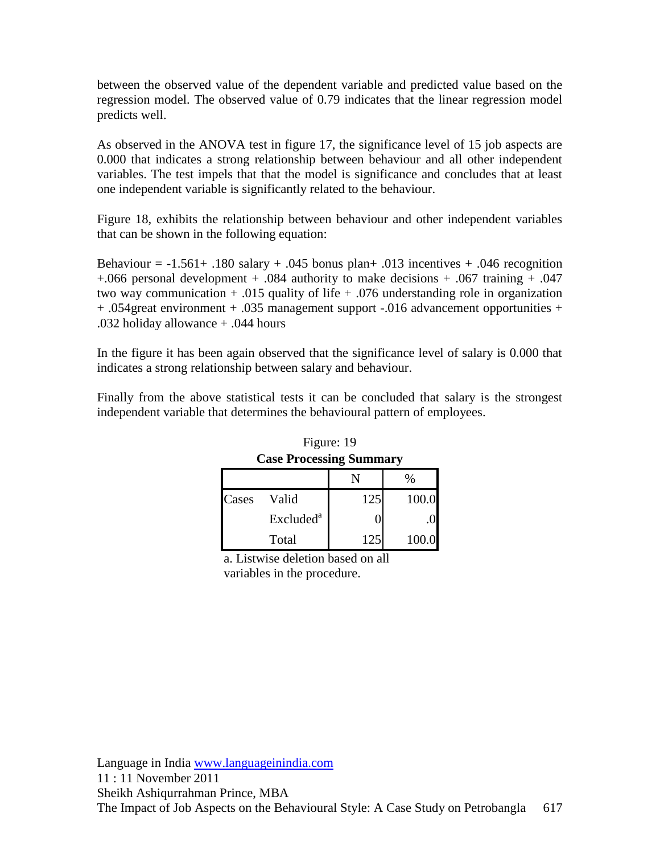between the observed value of the dependent variable and predicted value based on the regression model. The observed value of 0.79 indicates that the linear regression model predicts well.

As observed in the ANOVA test in figure 17, the significance level of 15 job aspects are 0.000 that indicates a strong relationship between behaviour and all other independent variables. The test impels that that the model is significance and concludes that at least one independent variable is significantly related to the behaviour.

Figure 18, exhibits the relationship between behaviour and other independent variables that can be shown in the following equation:

Behaviour =  $-1.561+180$  salary  $+0.045$  bonus plan $+0.013$  incentives  $+0.046$  recognition +.066 personal development + .084 authority to make decisions + .067 training + .047 two way communication  $+ .015$  quality of life  $+ .076$  understanding role in organization + .054great environment + .035 management support -.016 advancement opportunities + .032 holiday allowance + .044 hours

In the figure it has been again observed that the significance level of salary is 0.000 that indicates a strong relationship between salary and behaviour.

Finally from the above statistical tests it can be concluded that salary is the strongest independent variable that determines the behavioural pattern of employees.

| <b>Case Processing Summary</b> |                       |     |       |  |
|--------------------------------|-----------------------|-----|-------|--|
|                                |                       |     | ℅     |  |
| Cases                          | Valid                 | 125 | 100.0 |  |
|                                | Excluded <sup>a</sup> |     |       |  |
|                                | Total                 | 125 | 100.0 |  |

Figure: 19

a. Listwise deletion based on all variables in the procedure.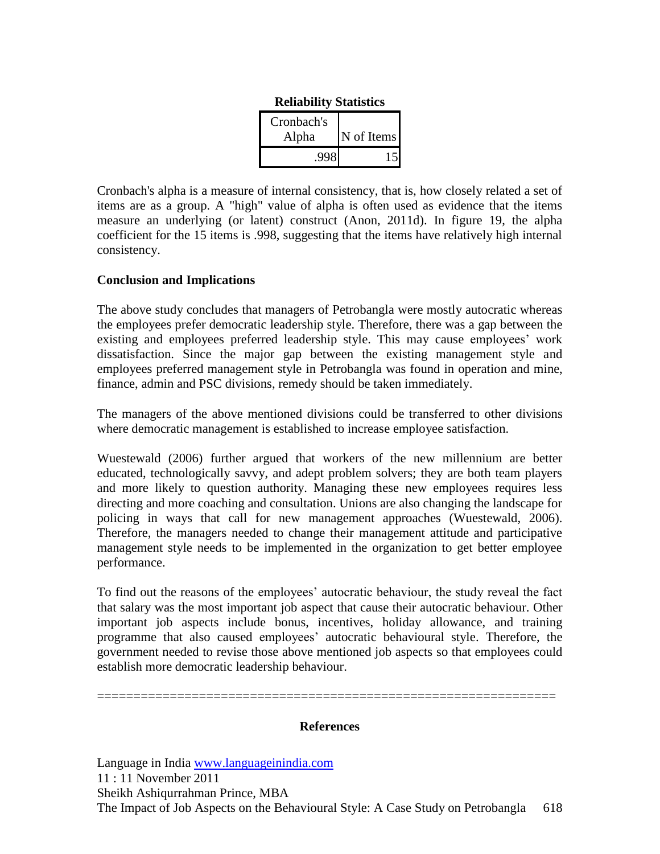| Cronbach's |            |
|------------|------------|
| Alpha      | N of Items |
|            |            |

| <b>Reliability Statistics</b> |  |
|-------------------------------|--|
|-------------------------------|--|

Cronbach's alpha is a measure of internal consistency, that is, how closely related a set of items are as a group. A "high" value of alpha is often used as evidence that the items measure an underlying (or latent) construct (Anon, 2011d). In figure 19, the alpha coefficient for the 15 items is .998, suggesting that the items have relatively high internal consistency.

#### **Conclusion and Implications**

The above study concludes that managers of Petrobangla were mostly autocratic whereas the employees prefer democratic leadership style. Therefore, there was a gap between the existing and employees preferred leadership style. This may cause employees' work dissatisfaction. Since the major gap between the existing management style and employees preferred management style in Petrobangla was found in operation and mine, finance, admin and PSC divisions, remedy should be taken immediately.

The managers of the above mentioned divisions could be transferred to other divisions where democratic management is established to increase employee satisfaction.

Wuestewald (2006) further argued that workers of the new millennium are better educated, technologically savvy, and adept problem solvers; they are both team players and more likely to question authority. Managing these new employees requires less directing and more coaching and consultation. Unions are also changing the landscape for policing in ways that call for new management approaches (Wuestewald, 2006). Therefore, the managers needed to change their management attitude and participative management style needs to be implemented in the organization to get better employee performance.

To find out the reasons of the employees' autocratic behaviour, the study reveal the fact that salary was the most important job aspect that cause their autocratic behaviour. Other important job aspects include bonus, incentives, holiday allowance, and training programme that also caused employees" autocratic behavioural style. Therefore, the government needed to revise those above mentioned job aspects so that employees could establish more democratic leadership behaviour.

**References**

===============================================================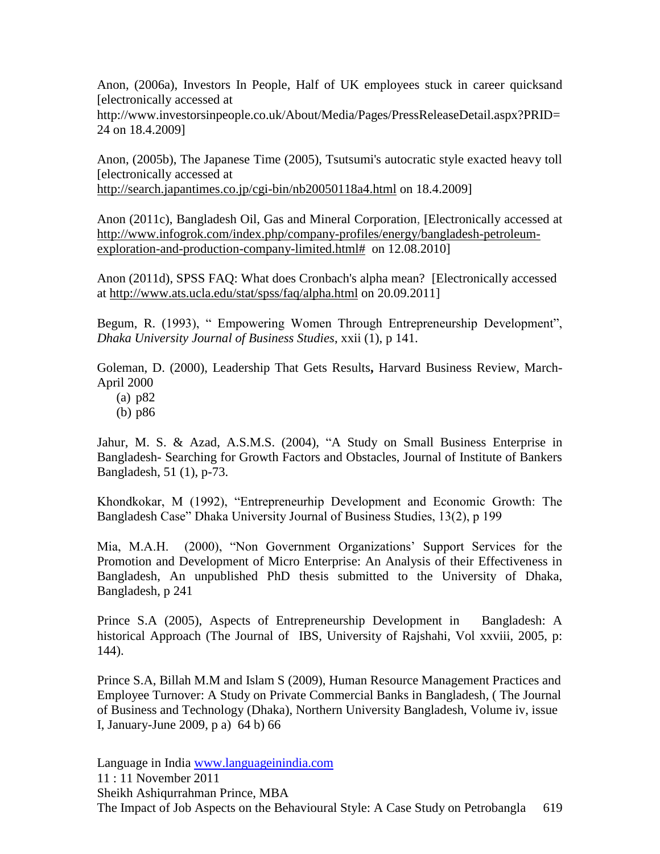Anon, (2006a), Investors In People, Half of UK employees stuck in career quicksand [electronically accessed at

http://www.investorsinpeople.co.uk/About/Media/Pages/PressReleaseDetail.aspx?PRID= 24 on 18.4.2009]

Anon, (2005b), The Japanese Time (2005), Tsutsumi's autocratic style exacted heavy toll [electronically accessed at

<http://search.japantimes.co.jp/cgi-bin/nb20050118a4.html> on 18.4.2009]

Anon (2011c), Bangladesh Oil, Gas and Mineral Corporation, **[**Electronically accessed at [http://www.infogrok.com/index.php/company-profiles/energy/bangladesh-petroleum](http://www.infogrok.com/index.php/company-profiles/energy/bangladesh-petroleum-exploration-and-production-company-limited.html)[exploration-and-production-company-limited.html#](http://www.infogrok.com/index.php/company-profiles/energy/bangladesh-petroleum-exploration-and-production-company-limited.html) on 12.08.2010]

Anon (2011d), SPSS FAQ: What does Cronbach's alpha mean? [Electronically accessed at<http://www.ats.ucla.edu/stat/spss/faq/alpha.html> on 20.09.2011]

Begum, R. (1993), " Empowering Women Through Entrepreneurship Development", *Dhaka University Journal of Business Studies*, xxii (1), p 141.

Goleman, D. (2000), Leadership That Gets Results**,** Harvard Business Review, March-April 2000

- (a) p82
- (b) p86

Jahur, M. S. & Azad, A.S.M.S. (2004), "A Study on Small Business Enterprise in Bangladesh- Searching for Growth Factors and Obstacles, Journal of Institute of Bankers Bangladesh, 51 (1), p-73.

Khondkokar, M (1992), "Entrepreneurhip Development and Economic Growth: The Bangladesh Case" Dhaka University Journal of Business Studies, 13(2), p 199

Mia, M.A.H. (2000), "Non Government Organizations" Support Services for the Promotion and Development of Micro Enterprise: An Analysis of their Effectiveness in Bangladesh, An unpublished PhD thesis submitted to the University of Dhaka, Bangladesh, p 241

Prince S.A (2005), Aspects of Entrepreneurship Development in Bangladesh: A historical Approach (The Journal of IBS, University of Rajshahi, Vol xxviii, 2005, p: 144).

Prince S.A, Billah M.M and Islam S (2009), Human Resource Management Practices and Employee Turnover: A Study on Private Commercial Banks in Bangladesh, ( The Journal of Business and Technology (Dhaka), Northern University Bangladesh, Volume iv, issue I, January-June 2009, p a) 64 b) 66